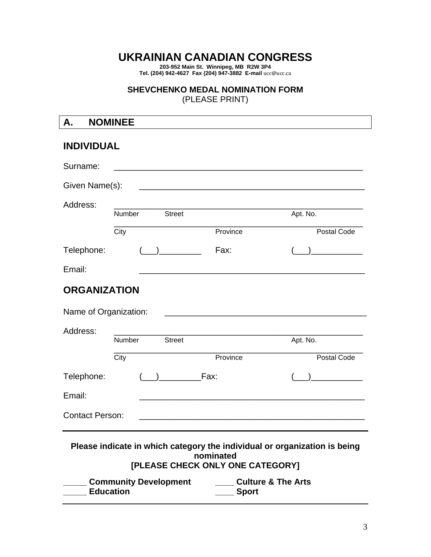# **UKRAINIAN CANADIAN CONGRESS**

**203-952 Main St. Winnipeg, MB R2W 3P4 Tel. (204) 942-4627 Fax (204) 947-3882 E-mail** ucc@ucc.ca

#### **SHEVCHENKO MEDAL NOMINATION FORM**

(PLEASE PRINT)

| А.                                                                                                                         | <b>NOMINEE</b> |               |                                                                                                                      |             |
|----------------------------------------------------------------------------------------------------------------------------|----------------|---------------|----------------------------------------------------------------------------------------------------------------------|-------------|
| <b>INDIVIDUAL</b>                                                                                                          |                |               |                                                                                                                      |             |
| Surname:                                                                                                                   |                |               |                                                                                                                      |             |
| Given Name(s):                                                                                                             |                |               | <u> 1980 - Johann John Stone, mars eta bat eta bat eta bat eta bat eta bat eta bat eta bat eta bat eta bat eta b</u> |             |
| Address:                                                                                                                   | Number         | <b>Street</b> |                                                                                                                      | Apt. No.    |
|                                                                                                                            | City           |               | Province                                                                                                             | Postal Code |
| Telephone:                                                                                                                 |                |               | Fax:                                                                                                                 |             |
| Email:                                                                                                                     |                |               | <u> 1980 - Johann John Stone, markin film yn y brenin y brenin y brenin y brenin y brenin y brenin y brenin y br</u> |             |
| <b>ORGANIZATION</b>                                                                                                        |                |               |                                                                                                                      |             |
| Name of Organization:                                                                                                      |                |               | <u> 1980 - Johann John Stone, mars eta biztanleria (</u>                                                             |             |
| Address:                                                                                                                   |                |               |                                                                                                                      |             |
|                                                                                                                            | Number         | <b>Street</b> |                                                                                                                      | Apt. No.    |
|                                                                                                                            | City           |               | Province                                                                                                             | Postal Code |
| Telephone:                                                                                                                 |                |               | Fax:                                                                                                                 |             |
| Email:                                                                                                                     |                |               |                                                                                                                      |             |
| <b>Contact Person:</b>                                                                                                     |                |               |                                                                                                                      |             |
| Please indicate in which category the individual or organization is being<br>nominated<br>[PLEASE CHECK ONLY ONE CATEGORY] |                |               |                                                                                                                      |             |
| <b>Community Development</b><br><b>Culture &amp; The Arts</b><br><b>Education</b><br><b>Sport</b>                          |                |               |                                                                                                                      |             |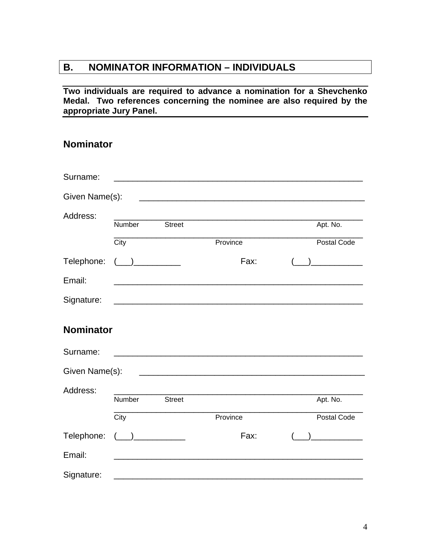# **B. NOMINATOR INFORMATION – INDIVIDUALS**

#### **Two individuals are required to advance a nomination for a Shevchenko Medal. Two references concerning the nominee are also required by the appropriate Jury Panel.**

## **Nominator**

| Surname:         |        |               | <u> 1989 - Johann Barn, mars and de Branch Barn, mars and de Branch Barn, mars and de Branch Barn, mars and de Br</u> |             |
|------------------|--------|---------------|-----------------------------------------------------------------------------------------------------------------------|-------------|
| Given Name(s):   |        |               |                                                                                                                       |             |
| Address:         |        |               |                                                                                                                       |             |
|                  | Number | <b>Street</b> |                                                                                                                       | Apt. No.    |
|                  | City   |               | Province                                                                                                              | Postal Code |
| Telephone:       |        |               | Fax:                                                                                                                  |             |
| Email:           |        |               |                                                                                                                       |             |
| Signature:       |        |               |                                                                                                                       |             |
| <b>Nominator</b> |        |               |                                                                                                                       |             |
| Surname:         |        |               |                                                                                                                       |             |
| Given Name(s):   |        |               |                                                                                                                       |             |
| Address:         |        |               |                                                                                                                       |             |
|                  | Number | <b>Street</b> |                                                                                                                       | Apt. No.    |
|                  | City   |               | Province                                                                                                              | Postal Code |
| Telephone:       |        |               | Fax:                                                                                                                  |             |
| Email:           |        |               |                                                                                                                       |             |
| Signature:       |        |               |                                                                                                                       |             |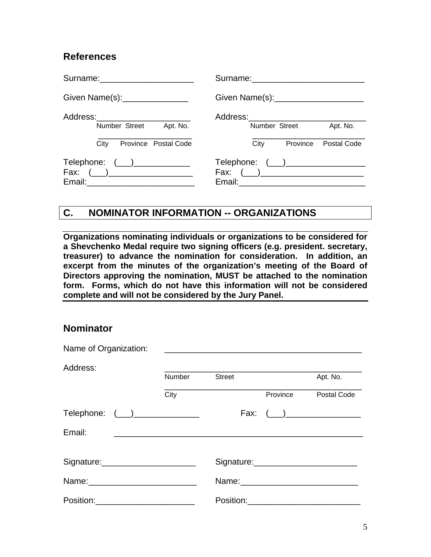## **References**

| Surname: _________________________ |                                     |
|------------------------------------|-------------------------------------|
| Given Name(s): ________________    |                                     |
| Address:__________________________ | Address:__________________________  |
| Number Street                      | Number Street                       |
| Apt. No.                           | Apt. No.                            |
| Province Postal Code               | City                                |
| City                               | Province Postal Code                |
| Telephone: $(\_\_\_\_\_\_$         | Telephone: (___)___________________ |
| Fax: $(\_)$                        |                                     |
|                                    |                                     |

## **C. NOMINATOR INFORMATION -- ORGANIZATIONS**

**Organizations nominating individuals or organizations to be considered for a Shevchenko Medal require two signing officers (e.g. president. secretary, treasurer) to advance the nomination for consideration. In addition, an excerpt from the minutes of the organization's meeting of the Board of Directors approving the nomination, MUST be attached to the nomination form. Forms, which do not have this information will not be considered complete and will not be considered by the Jury Panel.** 

#### **Nominator**

| Name of Organization:                |        |               |          |             |
|--------------------------------------|--------|---------------|----------|-------------|
| Address:                             | Number | <b>Street</b> |          | Apt. No.    |
|                                      | City   |               | Province | Postal Code |
| Telephone: (__)______________        |        |               |          | Fax: $(\_)$ |
| Email:                               |        |               |          |             |
| Signature: ________________________  |        |               |          |             |
|                                      |        |               |          |             |
| Position:___________________________ |        |               |          |             |